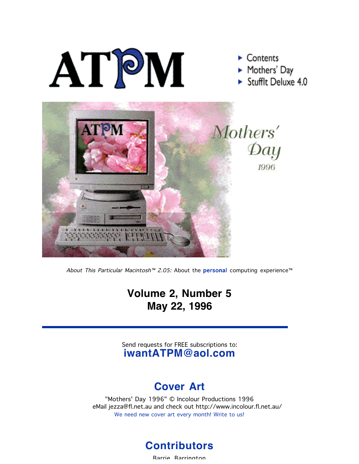

About This Particular Macintosh™ 2.05: About the **personal** computing experience<sup>™</sup>

### **Volume 2, Number 5 May 22, 1996**

Send requests for FREE subscriptions to: **iwantATPM@aol.com**

#### **Cover Art**

"Mothers' Day 1996" © Incolour Productions 1996 eMail jezza@fl.net.au and check out http://www.incolour.fl.net.au/ We need new cover art every month! Write to us!



Barrie Barrington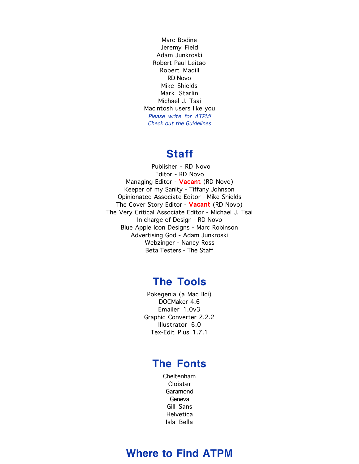Marc Bodine Jeremy Field Adam Junkroski Robert Paul Leitao Robert Madill RD Novo Mike Shields Mark Starlin Michael J. Tsai Macintosh users like you Please write for ATPM! Check out the Guidelines

#### **Staff**

 Publisher - RD Novo Editor - RD Novo Managing Editor - Vacant (RD Novo) Keeper of my Sanity - Tiffany Johnson Opinionated Associate Editor - Mike Shields The Cover Story Editor - Vacant (RD Novo) The Very Critical Associate Editor - Michael J. Tsai In charge of Design - RD Novo Blue Apple Icon Designs - Marc Robinson Advertising God - Adam Junkroski Webzinger - Nancy Ross Beta Testers - The Staff

#### **The Tools**

Pokegenia (a Mac IIci) DOCMaker 4.6 Emailer 1.0v3 Graphic Converter 2.2.2 Illustrator 6.0 Tex-Edit Plus 1.7.1

#### **The Fonts**

Cheltenham Cloister Garamond Geneva Gill Sans **Helvetica** Isla Bella

#### **Where to Find ATPM**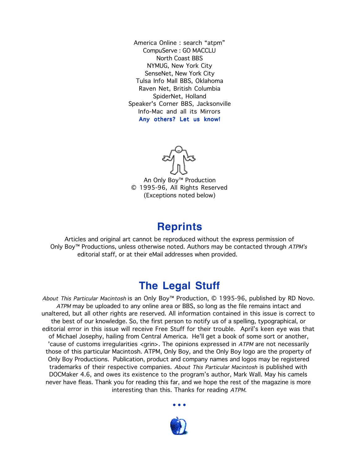America Online : search "atpm" CompuServe : GO MACCLU North Coast BBS NYMUG, New York City SenseNet, New York City Tulsa Info Mall BBS, Oklahoma Raven Net, British Columbia SpiderNet, Holland Speaker's Corner BBS, Jacksonville Info-Mac and all its Mirrors Any others? Let us know!

An Only Boy™ Production © 1995-96, All Rights Reserved (Exceptions noted below)

#### **Reprints**

Articles and original art cannot be reproduced without the express permission of Only Boy™ Productions, unless otherwise noted. Authors may be contacted through  $ATPM's$ editorial staff, or at their eMail addresses when provided.

#### **The Legal Stuff**

About This Particular Macintosh is an Only Boy™ Production, © 1995-96, published by RD Novo. ATPM may be uploaded to any online area or BBS, so long as the file remains intact and unaltered, but all other rights are reserved. All information contained in this issue is correct to the best of our knowledge. So, the first person to notify us of a spelling, typographical, or editorial error in this issue will receive Free Stuff for their trouble. April's keen eye was that of Michael Josephy, hailing from Central America. He'll get a book of some sort or another, 'cause of customs irregularities <grin>. The opinions expressed in ATPM are not necessarily those of this particular Macintosh. ATPM, Only Boy, and the Only Boy logo are the property of Only Boy Productions. Publication, product and company names and logos may be registered trademarks of their respective companies. About This Particular Macintosh is published with DOCMaker 4.6, and owes its existence to the program's author, Mark Wall. May his camels never have fleas. Thank you for reading this far, and we hope the rest of the magazine is more interesting than this. Thanks for reading ATPM.

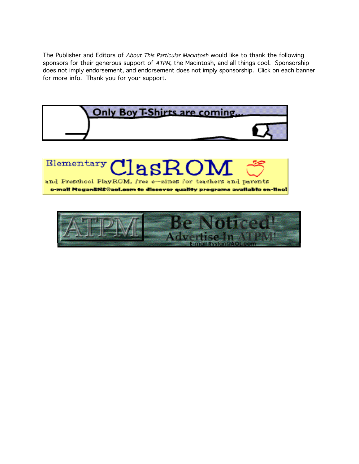The Publisher and Editors of About This Particular Macintosh would like to thank the following sponsors for their generous support of ATPM, the Macintosh, and all things cool. Sponsorship does not imply endorsement, and endorsement does not imply sponsorship. Click on each banner for more info. Thank you for your support.



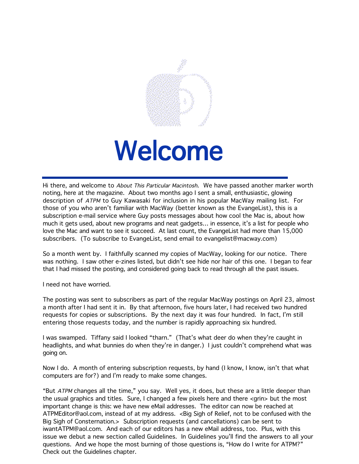

# Welcome

Hi there, and welcome to About This Particular Macintosh. We have passed another marker worth noting, here at the magazine. About two months ago I sent a small, enthusiastic, glowing description of ATPM to Guy Kawasaki for inclusion in his popular MacWay mailing list. For those of you who aren't familiar with MacWay (better known as the EvangeList), this is a subscription e-mail service where Guy posts messages about how cool the Mac is, about how much it gets used, about new programs and neat gadgets… in essence, it's a list for people who love the Mac and want to see it succeed. At last count, the EvangeList had more than 15,000 subscribers. (To subscribe to EvangeList, send email to evangelist@macway.com)

So a month went by. I faithfully scanned my copies of MacWay, looking for our notice. There was nothing. I saw other e-zines listed, but didn't see hide nor hair of this one. I began to fear that I had missed the posting, and considered going back to read through all the past issues.

I need not have worried.

The posting was sent to subscribers as part of the regular MacWay postings on April 23, almost a month after I had sent it in. By that afternoon, five hours later, I had received two hundred requests for copies or subscriptions. By the next day it was four hundred. In fact, I'm still entering those requests today, and the number is rapidly approaching six hundred.

I was swamped. Tiffany said I looked "tharn." (That's what deer do when they're caught in headlights, and what bunnies do when they're in danger.) I just couldn't comprehend what was going on.

Now I do. A month of entering subscription requests, by hand (I know, I know, isn't that what computers are for?) and I'm ready to make some changes.

"But ATPM changes all the time," you say. Well yes, it does, but these are a little deeper than the usual graphics and titles. Sure, I changed a few pixels here and there <grin> but the most important change is this: we have new eMail addresses. The editor can now be reached at ATPMEditor@aol.com, instead of at my address. <Big Sigh of Relief, not to be confused with the Big Sigh of Consternation.> Subscription requests (and cancellations) can be sent to iwantATPM@aol.com. And each of our editors has a new eMail address, too. Plus, with this issue we debut a new section called Guidelines. In Guidelines you'll find the answers to all your questions. And we hope the most burning of those questions is, "How do I write for ATPM?" Check out the Guidelines chapter.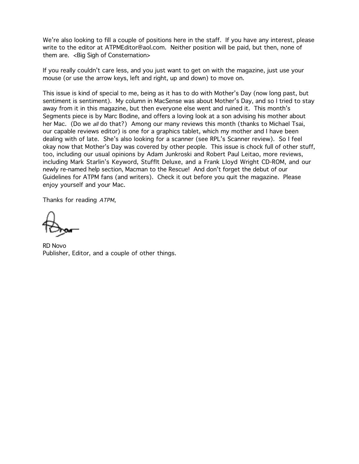We're also looking to fill a couple of positions here in the staff. If you have any interest, please write to the editor at ATPMEditor@aol.com. Neither position will be paid, but then, none of them are. < Big Sigh of Consternation>

If you really couldn't care less, and you just want to get on with the magazine, just use your mouse (or use the arrow keys, left and right, up and down) to move on.

This issue is kind of special to me, being as it has to do with Mother's Day (now long past, but sentiment is sentiment). My column in MacSense was about Mother's Day, and so I tried to stay away from it in this magazine, but then everyone else went and ruined it. This month's Segments piece is by Marc Bodine, and offers a loving look at a son advising his mother about her Mac. (Do we all do that?) Among our many reviews this month (thanks to Michael Tsai, our capable reviews editor) is one for a graphics tablet, which my mother and I have been dealing with of late. She's also looking for a scanner (see RPL's Scanner review). So I feel okay now that Mother's Day was covered by other people. This issue is chock full of other stuff, too, including our usual opinions by Adam Junkroski and Robert Paul Leitao, more reviews, including Mark Starlin's Keyword, StuffIt Deluxe, and a Frank Lloyd Wright CD-ROM, and our newly re-named help section, Macman to the Rescue! And don't forget the debut of our Guidelines for ATPM fans (and writers). Check it out before you quit the magazine. Please enjoy yourself and your Mac.

Thanks for reading ATPM,

RD Novo Publisher, Editor, and a couple of other things.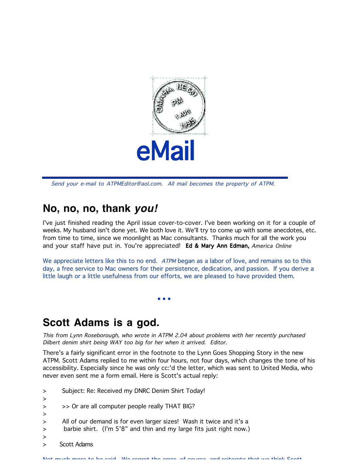

Send your e-mail to ATPMEditor@aol.com. All mail becomes the property of ATPM.

#### **No, no, no, thank** *you!*

I've just finished reading the April issue cover-to-cover. I've been working on it for a couple of weeks. My husband isn't done yet. We both love it. We'll try to come up with some anecdotes, etc. from time to time, since we moonlight as Mac consultants. Thanks much for all the work you and your staff have put in. You're appreciated! Ed & Mary Ann Edman, America Online

We appreciate letters like this to no end. ATPM began as a labor of love, and remains so to this day, a free service to Mac owners for their persistence, dedication, and passion. If you derive a little laugh or a little usefulness from our efforts, we are pleased to have provided them.

 $\bullet$  •  $\bullet$  •  $\bullet$  •  $\bullet$  •  $\bullet$  •  $\bullet$  •  $\bullet$  •  $\bullet$  •  $\bullet$  •  $\bullet$ 

#### **Scott Adams is a god.**

This from Lynn Roseborough, who wrote in ATPM 2.04 about problems with her recently purchased Dilbert denim shirt being WAY too big for her when it arrived. Editor.

There's a fairly significant error in the footnote to the Lynn Goes Shopping Story in the new ATPM. Scott Adams replied to me within four hours, not four days, which changes the tone of his accessibility. Especially since he was only cc:'d the letter, which was sent to United Media, who never even sent me a form email. Here is Scott's actual reply:

- > Subject: Re: Received my DNRC Denim Shirt Today!
- >
- > > > Or are all computer people really THAT BIG?
- >
- > All of our demand is for even larger sizes! Wash it twice and it's a
- > barbie shirt. (I'm 5'8" and thin and my large fits just right now.)
- >
- > Scott Adams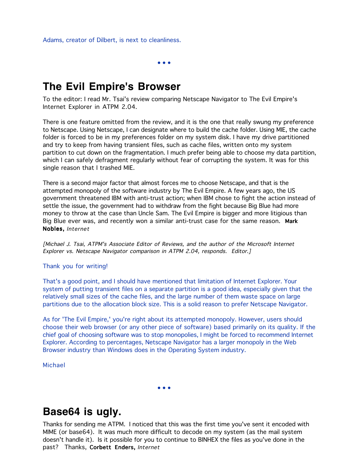Adams, creator of Dilbert, is next to cleanliness.

 $\bullet$  •  $\bullet$  •  $\bullet$  •  $\bullet$  •  $\bullet$  •  $\bullet$  •  $\bullet$  •  $\bullet$  •  $\bullet$  •  $\bullet$  •  $\bullet$  •  $\bullet$  •  $\bullet$  •  $\bullet$  •  $\bullet$  •  $\bullet$  •  $\bullet$  •  $\bullet$  •  $\bullet$  •  $\bullet$  •  $\bullet$  •  $\bullet$  •  $\bullet$  •  $\bullet$  •  $\bullet$  •  $\bullet$  •  $\bullet$  •  $\bullet$  •  $\bullet$  •  $\bullet$  •  $\bullet$  •  $\bullet$ 

#### **The Evil Empire's Browser**

To the editor: I read Mr. Tsai's review comparing Netscape Navigator to The Evil Empire's Internet Explorer in ATPM 2.04.

There is one feature omitted from the review, and it is the one that really swung my preference to Netscape. Using Netscape, I can designate where to build the cache folder. Using MIE, the cache folder is forced to be in my preferences folder on my system disk. I have my drive partitioned and try to keep from having transient files, such as cache files, written onto my system partition to cut down on the fragmentation. I much prefer being able to choose my data partition, which I can safely defragment regularly without fear of corrupting the system. It was for this single reason that I trashed MIE.

There is a second major factor that almost forces me to choose Netscape, and that is the attempted monopoly of the software industry by The Evil Empire. A few years ago, the US government threatened IBM with anti-trust action; when IBM chose to fight the action instead of settle the issue, the government had to withdraw from the fight because Big Blue had more money to throw at the case than Uncle Sam. The Evil Empire is bigger and more litigious than Big Blue ever was, and recently won a similar anti-trust case for the same reason. Mark Nobles, Internet

[Michael J. Tsai, ATPM's Associate Editor of Reviews, and the author of the Microsoft Internet Explorer vs. Netscape Navigator comparison in ATPM 2.04, responds. Editor.]

#### Thank you for writing!

That's a good point, and I should have mentioned that limitation of Internet Explorer. Your system of putting transient files on a separate partition is a good idea, especially given that the relatively small sizes of the cache files, and the large number of them waste space on large partitions due to the allocation block size. This is a solid reason to prefer Netscape Navigator.

As for 'The Evil Empire,' you're right about its attempted monopoly. However, users should choose their web browser (or any other piece of software) based primarily on its quality. If the chief goal of choosing software was to stop monopolies, I might be forced to recommend Internet Explorer. According to percentages, Netscape Navigator has a larger monopoly in the Web Browser industry than Windows does in the Operating System industry.

Michael

 $\bullet$  •  $\bullet$  •  $\bullet$  •  $\bullet$  •  $\bullet$  •  $\bullet$  •  $\bullet$  •  $\bullet$  •  $\bullet$  •  $\bullet$  •  $\bullet$  •  $\bullet$  •  $\bullet$  •  $\bullet$  •  $\bullet$  •  $\bullet$  •  $\bullet$  •  $\bullet$  •  $\bullet$  •  $\bullet$  •  $\bullet$  •  $\bullet$  •  $\bullet$  •  $\bullet$  •  $\bullet$  •  $\bullet$  •  $\bullet$  •  $\bullet$  •  $\bullet$  •  $\bullet$  •  $\bullet$  •  $\bullet$ 

#### **Base64 is ugly.**

Thanks for sending me ATPM. I noticed that this was the first time you've sent it encoded with MIME (or base64). It was much more difficult to decode on my system (as the mail system doesn't handle it). Is it possible for you to continue to BINHEX the files as you've done in the past? Thanks, Corbett Enders, Internet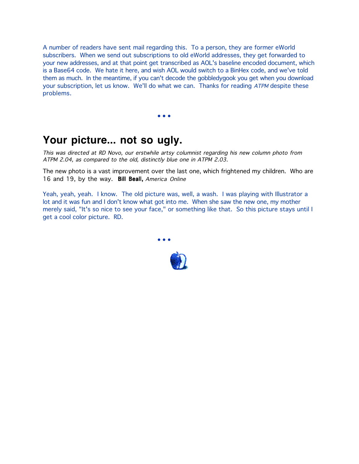A number of readers have sent mail regarding this. To a person, they are former eWorld subscribers. When we send out subscriptions to old eWorld addresses, they get forwarded to your new addresses, and at that point get transcribed as AOL's baseline encoded document, which is a Base64 code. We hate it here, and wish AOL would switch to a BinHex code, and we've told them as much. In the meantime, if you can't decode the gobbledygook you get when you download your subscription, let us know. We'll do what we can. Thanks for reading ATPM despite these problems.

**Your picture... not so ugly.**

 $\bullet$  •  $\bullet$  •  $\bullet$  •  $\bullet$  •  $\bullet$  •  $\bullet$  •  $\bullet$  •  $\bullet$  •  $\bullet$  •  $\bullet$ 

This was directed at RD Novo, our erstwhile artsy columnist regarding his new column photo from ATPM 2.04, as compared to the old, distinctly blue one in ATPM 2.03.

The new photo is a vast improvement over the last one, which frightened my children. Who are 16 and 19, by the way. Bill Beall, America Online

Yeah, yeah, yeah. I know. The old picture was, well, a wash. I was playing with Illustrator a lot and it was fun and I don't know what got into me. When she saw the new one, my mother merely said, "It's so nice to see your face," or something like that. So this picture stays until I get a cool color picture. RD.

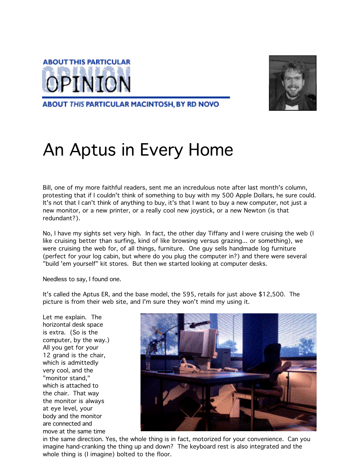



ABOUT THIS PARTICULAR MACINTOSH, BY RD NOVO

# An Aptus in Every Home

Bill, one of my more faithful readers, sent me an incredulous note after last month's column, protesting that if I couldn't think of something to buy with my 500 Apple Dollars, he sure could. It's not that I can't think of anything to buy, it's that I want to buy a new computer, not just a new monitor, or a new printer, or a really cool new joystick, or a new Newton (is that redundant?).

No, I have my sights set very high. In fact, the other day Tiffany and I were cruising the web (I like cruising better than surfing, kind of like browsing versus grazing... or something), we were cruising the web for, of all things, furniture. One guy sells handmade log furniture (perfect for your log cabin, but where do you plug the computer in?) and there were several "build 'em yourself" kit stores. But then we started looking at computer desks.

Needless to say, I found one.

It's called the Aptus ER, and the base model, the 595, retails for just above \$12,500. The picture is from their web site, and I'm sure they won't mind my using it.

Let me explain. The horizontal desk space is extra. (So is the computer, by the way.) All you get for your 12 grand is the chair, which is admittedly very cool, and the "monitor stand," which is attached to the chair. That way the monitor is always at eye level, your body and the monitor are connected and move at the same time



in the same direction. Yes, the whole thing is in fact, motorized for your convenience. Can you imagine hand-cranking the thing up and down? The keyboard rest is also integrated and the whole thing is (I imagine) bolted to the floor.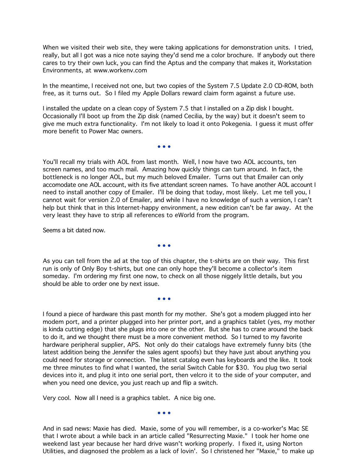When we visited their web site, they were taking applications for demonstration units. I tried, really, but all I got was a nice note saying they'd send me a color brochure. If anybody out there cares to try their own luck, you can find the Aptus and the company that makes it, Workstation Environments, at www.workenv.com

In the meantime, I received not one, but two copies of the System 7.5 Update 2.0 CD-ROM, both free, as it turns out. So I filed my Apple Dollars reward claim form against a future use.

I installed the update on a clean copy of System 7.5 that I installed on a Zip disk I bought. Occasionally I'll boot up from the Zip disk (named Cecilia, by the way) but it doesn't seem to give me much extra functionality. I'm not likely to load it onto Pokegenia. I guess it must offer more benefit to Power Mac owners.

You'll recall my trials with AOL from last month. Well, I now have two AOL accounts, ten screen names, and too much mail. Amazing how quickly things can turn around. In fact, the bottleneck is no longer AOL, but my much beloved Emailer. Turns out that Emailer can only accomodate one AOL account, with its five attendant screen names. To have another AOL account I need to install another copy of Emailer. I'll be doing that today, most likely. Let me tell you, I cannot wait for version 2.0 of Emailer, and while I have no knowledge of such a version, I can't help but think that in this Internet-happy environment, a new edition can't be far away. At the very least they have to strip all references to eWorld from the program.

Seems a bit dated now.

 $\bullet$  •  $\bullet$  •  $\bullet$  •  $\bullet$  •  $\bullet$  •  $\bullet$  •  $\bullet$  •  $\bullet$  •  $\bullet$  •  $\bullet$  •  $\bullet$  •  $\bullet$ 

 $\bullet$  •  $\bullet$  •  $\bullet$  •  $\bullet$  •  $\bullet$  •  $\bullet$  •  $\bullet$  •  $\bullet$  •  $\bullet$  •  $\bullet$  •  $\bullet$  •  $\bullet$  •  $\bullet$  •  $\bullet$  •  $\bullet$  •  $\bullet$  •  $\bullet$  •  $\bullet$  •  $\bullet$  •  $\bullet$  •  $\bullet$  •  $\bullet$  •  $\bullet$  •  $\bullet$  •  $\bullet$  •  $\bullet$  •  $\bullet$  •  $\bullet$  •  $\bullet$  •  $\bullet$  •  $\bullet$  •  $\bullet$ 

As you can tell from the ad at the top of this chapter, the t-shirts are on their way. This first run is only of Only Boy t-shirts, but one can only hope they'll become a collector's item someday. I'm ordering my first one now, to check on all those niggely little details, but you should be able to order one by next issue.

 $\bullet$  •  $\bullet$  •  $\bullet$  •  $\bullet$  •  $\bullet$  •  $\bullet$  •  $\bullet$  •  $\bullet$  •  $\bullet$  •  $\bullet$ 

I found a piece of hardware this past month for my mother. She's got a modem plugged into her modem port, and a printer plugged into her printer port, and a graphics tablet (yes, my mother is kinda cutting edge) that she plugs into one or the other. But she has to crane around the back to do it, and we thought there must be a more convenient method. So I turned to my favorite hardware peripheral supplier, APS. Not only do their catalogs have extremely funny bits (the latest addition being the Jennifer the sales agent spoofs) but they have just about anything you could need for storage or connection. The latest catalog even has keyboards and the like. It took me three minutes to find what I wanted, the serial Switch Cable for \$30. You plug two serial devices into it, and plug it into one serial port, then velcro it to the side of your computer, and when you need one device, you just reach up and flip a switch.

Very cool. Now all I need is a graphics tablet. A nice big one.

 $\bullet$  •  $\bullet$  •  $\bullet$  •  $\bullet$  •  $\bullet$  •  $\bullet$  •  $\bullet$  •  $\bullet$  •  $\bullet$  •  $\bullet$ 

And in sad news: Maxie has died. Maxie, some of you will remember, is a co-worker's Mac SE that I wrote about a while back in an article called "Resurrecting Maxie." I took her home one weekend last year because her hard drive wasn't working properly. I fixed it, using Norton Utilities, and diagnosed the problem as a lack of lovin'. So I christened her "Maxie," to make up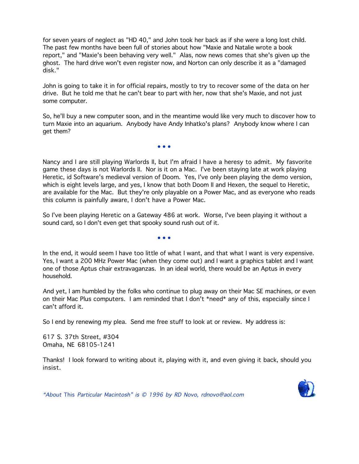for seven years of neglect as "HD 40," and John took her back as if she were a long lost child. The past few months have been full of stories about how "Maxie and Natalie wrote a book report," and "Maxie's been behaving very well." Alas, now news comes that she's given up the ghost. The hard drive won't even register now, and Norton can only describe it as a "damaged disk."

John is going to take it in for official repairs, mostly to try to recover some of the data on her drive. But he told me that he can't bear to part with her, now that she's Maxie, and not just some computer.

So, he'll buy a new computer soon, and in the meantime would like very much to discover how to turn Maxie into an aquarium. Anybody have Andy Inhatko's plans? Anybody know where I can get them?

 $\bullet$  •  $\bullet$  •  $\bullet$  •  $\bullet$  •  $\bullet$  •  $\bullet$  •  $\bullet$  •  $\bullet$  •  $\bullet$  •  $\bullet$  •  $\bullet$  •  $\bullet$ 

Nancy and I are still playing Warlords II, but I'm afraid I have a heresy to admit. My fasvorite game these days is not Warlords II. Nor is it on a Mac. I've been staying late at work playing Heretic, id Software's medieval version of Doom. Yes, I've only been playing the demo version, which is eight levels large, and yes, I know that both Doom II and Hexen, the sequel to Heretic, are available for the Mac. But they're only playable on a Power Mac, and as everyone who reads this column is painfully aware, I don't have a Power Mac.

So I've been playing Heretic on a Gateway 486 at work. Worse, I've been playing it without a sound card, so I don't even get that spooky sound rush out of it.

In the end, it would seem I have too little of what I want, and that what I want is very expensive. Yes, I want a 200 MHz Power Mac (when they come out) and I want a graphics tablet and I want one of those Aptus chair extravaganzas. In an ideal world, there would be an Aptus in every household.

And yet, I am humbled by the folks who continue to plug away on their Mac SE machines, or even on their Mac Plus computers. I am reminded that I don't \*need\* any of this, especially since I can't afford it.

So I end by renewing my plea. Send me free stuff to look at or review. My address is:

617 S. 37th Street, #304 Omaha, NE 68105-1241

 $\bullet$  •  $\bullet$  •  $\bullet$  •  $\bullet$  •  $\bullet$  •  $\bullet$  •  $\bullet$  •  $\bullet$  •  $\bullet$  •  $\bullet$  •  $\bullet$  •  $\bullet$ 

Thanks! I look forward to writing about it, playing with it, and even giving it back, should you insist.



"About This Particular Macintosh" is © 1996 by RD Novo, rdnovo@aol.com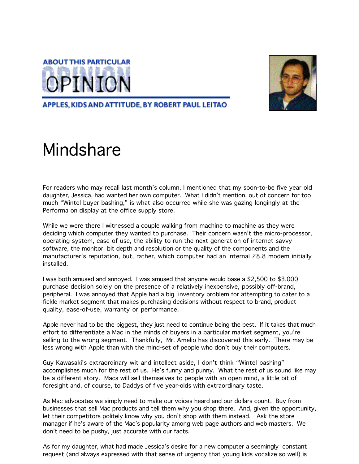



#### APPLES, KIDS AND ATTITUDE, BY ROBERT PAUL LEITAO

# Mindshare

For readers who may recall last month's column, I mentioned that my soon-to-be five year old daughter, Jessica, had wanted her own computer. What I didn't mention, out of concern for too much "Wintel buyer bashing," is what also occurred while she was gazing longingly at the Performa on display at the office supply store.

While we were there I witnessed a couple walking from machine to machine as they were deciding which computer they wanted to purchase. Their concern wasn't the micro-processor, operating system, ease-of-use, the ability to run the next generation of internet-savvy software, the monitor bit depth and resolution or the quality of the components and the manufacturer's reputation, but, rather, which computer had an internal 28.8 modem initially installed.

I was both amused and annoyed. I was amused that anyone would base a \$2,500 to \$3,000 purchase decision solely on the presence of a relatively inexpensive, possibly off-brand, peripheral. I was annoyed that Apple had a big inventory problem for attempting to cater to a fickle market segment that makes purchasing decisions without respect to brand, product quality, ease-of-use, warranty or performance.

Apple never had to be the biggest, they just need to continue being the best. If it takes that much effort to differentiate a Mac in the minds of buyers in a particular market segment, you're selling to the wrong segment. Thankfully, Mr. Amelio has discovered this early. There may be less wrong with Apple than with the mind-set of people who don't buy their computers.

Guy Kawasaki's extraordinary wit and intellect aside, I don't think "Wintel bashing" accomplishes much for the rest of us. He's funny and punny. What the rest of us sound like may be a different story. Macs will sell themselves to people with an open mind, a little bit of foresight and, of course, to Daddys of five year-olds with extraordinary taste.

As Mac advocates we simply need to make our voices heard and our dollars count. Buy from businesses that sell Mac products and tell them why you shop there. And, given the opportunity, let their competitors politely know why you don't shop with them instead. Ask the store manager if he's aware of the Mac's popularity among web page authors and web masters. We don't need to be pushy, just accurate with our facts.

As for my daughter, what had made Jessica's desire for a new computer a seemingly constant request (and always expressed with that sense of urgency that young kids vocalize so well) is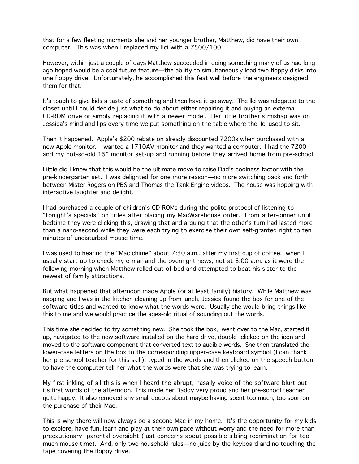that for a few fleeting moments she and her younger brother, Matthew, did have their own computer. This was when I replaced my IIci with a 7500/100.

However, within just a couple of days Matthew succeeded in doing something many of us had long ago hoped would be a cool future feature—the ability to simultaneously load two floppy disks into one floppy drive. Unfortunately, he accomplished this feat well before the engineers designed them for that.

It's tough to give kids a taste of something and then have it go away. The llci was relegated to the closet until I could decide just what to do about either repairing it and buying an external CD-ROM drive or simply replacing it with a newer model. Her little brother's mishap was on Jessica's mind and lips every time we put something on the table where the IIci used to sit.

Then it happened. Apple's \$200 rebate on already discounted 7200s when purchased with a new Apple monitor. I wanted a 1710AV monitor and they wanted a computer. I had the 7200 and my not-so-old 15" monitor set-up and running before they arrived home from pre-school.

Little did I know that this would be the ultimate move to raise Dad's coolness factor with the pre-kindergarten set. I was delighted for one more reason—no more switching back and forth between Mister Rogers on PBS and Thomas the Tank Engine videos. The house was hopping with interactive laughter and delight.

I had purchased a couple of children's CD-ROMs during the polite protocol of listening to "tonight's specials" on titles after placing my MacWarehouse order. From after-dinner until bedtime they were clicking this, drawing that and arguing that the other's turn had lasted more than a nano-second while they were each trying to exercise their own self-granted right to ten minutes of undisturbed mouse time.

I was used to hearing the "Mac chime" about 7:30 a.m., after my first cup of coffee, when I usually start-up to check my e-mail and the overnight news, not at 6:00 a.m. as it were the following morning when Matthew rolled out-of-bed and attempted to beat his sister to the newest of family attractions.

But what happened that afternoon made Apple (or at least family) history. While Matthew was napping and I was in the kitchen cleaning up from lunch, Jessica found the box for one of the software titles and wanted to know what the words were. Usually she would bring things like this to me and we would practice the ages-old ritual of sounding out the words.

This time she decided to try something new. She took the box, went over to the Mac, started it up, navigated to the new software installed on the hard drive, double- clicked on the icon and moved to the software component that converted text to audible words. She then translated the lower-case letters on the box to the corresponding upper-case keyboard symbol (I can thank her pre-school teacher for this skill), typed in the words and then clicked on the speech button to have the computer tell her what the words were that she was trying to learn.

My first inkling of all this is when I heard the abrupt, nasally voice of the software blurt out its first words of the afternoon. This made her Daddy very proud and her pre-school teacher quite happy. It also removed any small doubts about maybe having spent too much, too soon on the purchase of their Mac.

This is why there will now always be a second Mac in my home. It's the opportunity for my kids to explore, have fun, learn and play at their own pace without worry and the need for more than precautionary parental oversight (just concerns about possible sibling recrimination for too much mouse time). And, only two household rules—no juice by the keyboard and no touching the tape covering the floppy drive.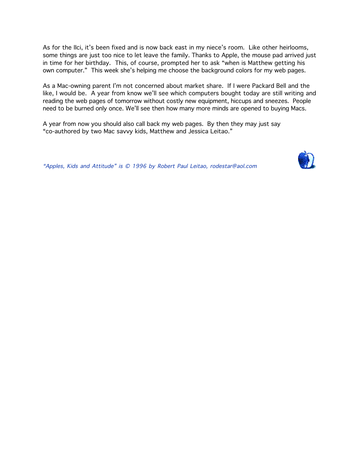As for the IIci, it's been fixed and is now back east in my niece's room. Like other heirlooms, some things are just too nice to let leave the family. Thanks to Apple, the mouse pad arrived just in time for her birthday. This, of course, prompted her to ask "when is Matthew getting his own computer." This week she's helping me choose the background colors for my web pages.

As a Mac-owning parent I'm not concerned about market share. If I were Packard Bell and the like, I would be. A year from know we'll see which computers bought today are still writing and reading the web pages of tomorrow without costly new equipment, hiccups and sneezes. People need to be burned only once. We'll see then how many more minds are opened to buying Macs.

A year from now you should also call back my web pages. By then they may just say "co-authored by two Mac savvy kids, Matthew and Jessica Leitao."

"Apples, Kids and Attitude" is © 1996 by Robert Paul Leitao, rodestar@aol.com

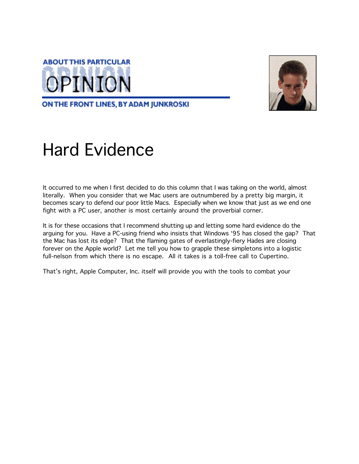

ON THE FRONT LINES, BY ADAM JUNKROSKI

# Hard Evidence

It occurred to me when I first decided to do this column that I was taking on the world, almost literally. When you consider that we Mac users are outnumbered by a pretty big margin, it becomes scary to defend our poor little Macs. Especially when we know that just as we end one fight with a PC user, another is most certainly around the proverbial corner.

It is for these occasions that I recommend shutting up and letting some hard evidence do the arguing for you. Have a PC-using friend who insists that Windows '95 has closed the gap? That the Mac has lost its edge? That the flaming gates of everlastingly-fiery Hades are closing forever on the Apple world? Let me tell you how to grapple these simpletons into a logistic full-nelson from which there is no escape. All it takes is a toll-free call to Cupertino.

That's right, Apple Computer, Inc. itself will provide you with the tools to combat your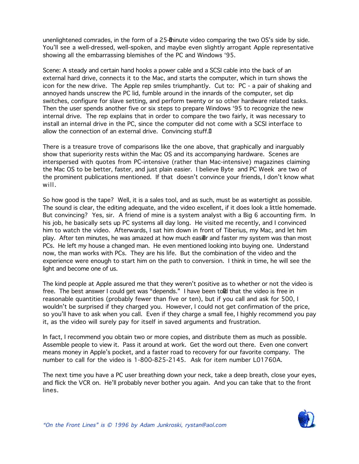unenlightened comrades, in the form of a 25-minute video comparing the two OS's side by side. You'll see a well-dressed, well-spoken, and maybe even slightly arrogant Apple representative showing all the embarrassing blemishes of the PC and Windows '95.

Scene: A steady and certain hand hooks a power cable and a SCSI cable into the back of an external hard drive, connects it to the Mac, and starts the computer, which in turn shows the icon for the new drive. The Apple rep smiles triumphantly. Cut to: PC - a pair of shaking and annoyed hands unscrew the PC lid, fumble around in the innards of the computer, set dip switches, configure for slave setting, and perform twenty or so other hardware related tasks. Then the user spends another five or six steps to prepare Windows '95 to recognize the new internal drive. The rep explains that in order to compare the two fairly, it was necessary to install an internal drive in the PC, since the computer did not come with a SCSI interface to allow the connection of an external drive. Convincing stuff.

There is a treasure trove of comparisons like the one above, that graphically and inarguably show that superiority rests within the Mac OS and its accompanying hardware. Scenes are interspersed with quotes from PC-intensive (rather than Mac-intensive) magazines claiming the Mac OS to be better, faster, and just plain easier. I believe Byte and PC Week are two of the prominent publications mentioned. If that doesn't convince your friends, I don't know what will.

So how good is the tape? Well, it is a sales tool, and as such, must be as watertight as possible. The sound is clear, the editing adequate, and the video excellent, if it does look a little homemade. But convincing? Yes, sir. A friend of mine is a system analyst with a Big 6 accounting firm. In his job, he basically sets up PC systems all day long. He visited me recently, and I convinced him to watch the video. Afterwards, I sat him down in front of Tiberius, my Mac, and let him play. After ten minutes, he was amazed at how much easier and faster my system was than most PCs. He left my house a changed man. He even mentioned looking into buying one. Understand now, the man works with PCs. They are his life. But the combination of the video and the experience were enough to start him on the path to conversion. I think in time, he will see the light and become one of us.

The kind people at Apple assured me that they weren't positive as to whether or not the video is free. The best answer I could get was "depends." I have been told that the video is free in reasonable quantities (probably fewer than five or ten), but if you call and ask for 500, I wouldn't be surprised if they charged you. However, I could not get confirmation of the price, so you'll have to ask when you call. Even if they charge a small fee, I highly recommend you pay it, as the video will surely pay for itself in saved arguments and frustration.

In fact, I recommend you obtain two or more copies, and distribute them as much as possible. Assemble people to view it. Pass it around at work. Get the word out there. Even one convert means money in Apple's pocket, and a faster road to recovery for our favorite company. The number to call for the video is 1-800-825-2145. Ask for item number L01760A.

The next time you have a PC user breathing down your neck, take a deep breath, close your eyes, and flick the VCR on. He'll probably never bother you again. And you can take that to the front lines.

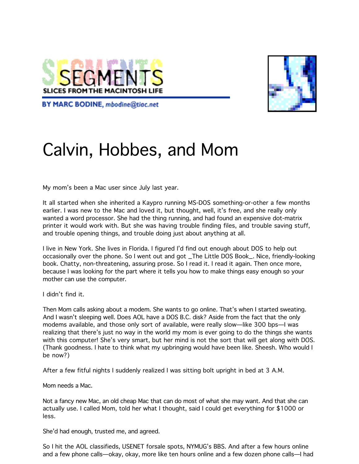



**BY MARC BODINE**, mbodine@tiac.net

# Calvin, Hobbes, and Mom

My mom's been a Mac user since July last year.

It all started when she inherited a Kaypro running MS-DOS something-or-other a few months earlier. I was new to the Mac and loved it, but thought, well, it's free, and she really only wanted a word processor. She had the thing running, and had found an expensive dot-matrix printer it would work with. But she was having trouble finding files, and trouble saving stuff, and trouble opening things, and trouble doing just about anything at all.

I live in New York. She lives in Florida. I figured I'd find out enough about DOS to help out occasionally over the phone. So I went out and got \_The Little DOS Book\_. Nice, friendly-looking book. Chatty, non-threatening, assuring prose. So I read it. I read it again. Then once more, because I was looking for the part where it tells you how to make things easy enough so your mother can use the computer.

I didn't find it.

Then Mom calls asking about a modem. She wants to go online. That's when I started sweating. And I wasn't sleeping well. Does AOL have a DOS B.C. disk? Aside from the fact that the only modems available, and those only sort of available, were really slow—like 300 bps—I was realizing that there's just no way in the world my mom is ever going to do the things she wants with this computer! She's very smart, but her mind is not the sort that will get along with DOS. (Thank goodness. I hate to think what my upbringing would have been like. Sheesh. Who would I be now?)

After a few fitful nights I suddenly realized I was sitting bolt upright in bed at 3 A.M.

Mom needs a Mac.

Not a fancy new Mac, an old cheap Mac that can do most of what she may want. And that she can actually use. I called Mom, told her what I thought, said I could get everything for \$1000 or less.

She'd had enough, trusted me, and agreed.

So I hit the AOL classifieds, USENET forsale spots, NYMUG's BBS. And after a few hours online and a few phone calls—okay, okay, more like ten hours online and a few dozen phone calls—I had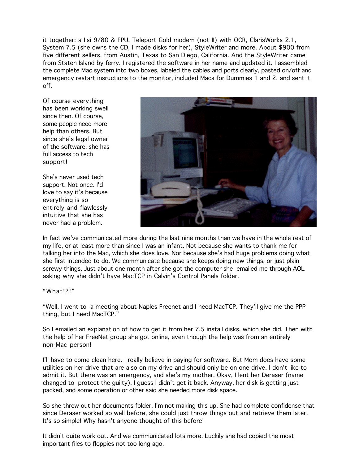it together: a IIsi 9/80 & FPU, Teleport Gold modem (not II) with OCR, ClarisWorks 2.1, System 7.5 (she owns the CD, I made disks for her), StyleWriter and more. About \$900 from five different sellers, from Austin, Texas to San Diego, California. And the StyleWriter came from Staten Island by ferry. I registered the software in her name and updated it. I assembled the complete Mac system into two boxes, labeled the cables and ports clearly, pasted on/off and emergency restart insructions to the monitor, included Macs for Dummies 1 and 2, and sent it off.

Of course everything has been working swell since then. Of course, some people need more help than others. But since she's legal owner of the software, she has full access to tech support!

She's never used tech support. Not once. I'd love to say it's because everything is so entirely and flawlessly intuitive that she has never had a problem.



In fact we've communicated more during the last nine months than we have in the whole rest of my life, or at least more than since I was an infant. Not because she wants to thank me for talking her into the Mac, which she does love. Nor because she's had huge problems doing what she first intended to do. We communicate because she keeps doing new things, or just plain screwy things. Just about one month after she got the computer she emailed me through AOL asking why she didn't have MacTCP in Calvin's Control Panels folder.

#### "What!?!"

"Well, I went to a meeting about Naples Freenet and I need MacTCP. They'll give me the PPP thing, but I need MacTCP."

So I emailed an explanation of how to get it from her 7.5 install disks, which she did. Then with the help of her FreeNet group she got online, even though the help was from an entirely non-Mac person!

I'll have to come clean here. I really believe in paying for software. But Mom does have some utilities on her drive that are also on my drive and should only be on one drive. I don't like to admit it. But there was an emergency, and she's my mother. Okay, I lent her Deraser (name changed to protect the guilty). I guess I didn't get it back. Anyway, her disk is getting just packed, and some operation or other said she needed more disk space.

So she threw out her documents folder. I'm not making this up. She had complete confidense that since Deraser worked so well before, she could just throw things out and retrieve them later. It's so simple! Why hasn't anyone thought of this before!

It didn't quite work out. And we communicated lots more. Luckily she had copied the most important files to floppies not too long ago.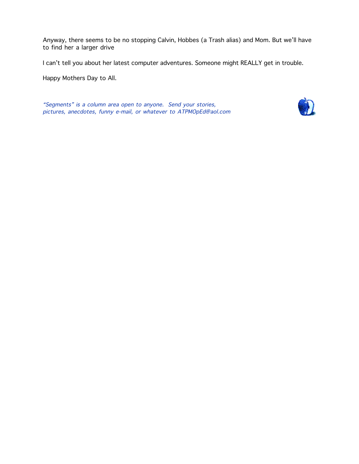Anyway, there seems to be no stopping Calvin, Hobbes (a Trash alias) and Mom. But we'll have to find her a larger drive

I can't tell you about her latest computer adventures. Someone might REALLY get in trouble.

Happy Mothers Day to All.

"Segments" is a column area open to anyone. Send your stories, pictures, anecdotes, funny e-mail, or whatever to ATPMOpEd@aol.com

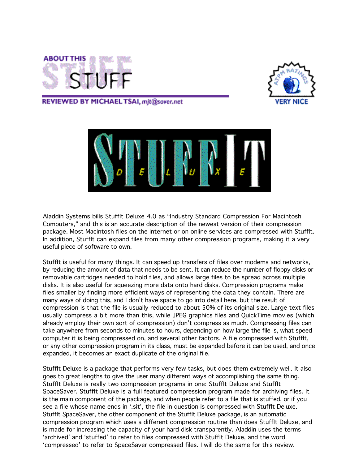



REVIEWED BY MICHAEL TSAI, mjt@sover.net



Aladdin Systems bills StuffIt Deluxe 4.0 as "Industry Standard Compression For Macintosh Computers," and this is an accurate description of the newest version of their compression package. Most Macintosh files on the internet or on online services are compressed with StuffIt. In addition, StuffIt can expand files from many other compression programs, making it a very useful piece of software to own.

StuffIt is useful for many things. It can speed up transfers of files over modems and networks, by reducing the amount of data that needs to be sent. It can reduce the number of floppy disks or removable cartridges needed to hold files, and allows large files to be spread across multiple disks. It is also useful for squeezing more data onto hard disks. Compression programs make files smaller by finding more efficient ways of representing the data they contain. There are many ways of doing this, and I don't have space to go into detail here, but the result of compression is that the file is usually reduced to about 50% of its original size. Large text files usually compress a bit more than this, while JPEG graphics files and QuickTime movies (which already employ their own sort of compression) don't compress as much. Compressing files can take anywhere from seconds to minutes to hours, depending on how large the file is, what speed computer it is being compressed on, and several other factors. A file compressed with StuffIt, or any other compression program in its class, must be expanded before it can be used, and once expanded, it becomes an exact duplicate of the original file.

StuffIt Deluxe is a package that performs very few tasks, but does them extremely well. It also goes to great lengths to give the user many different ways of accomplishing the same thing. StuffIt Deluxe is really two compression programs in one: StuffIt Deluxe and StuffIt SpaceSaver. StuffIt Deluxe is a full featured compression program made for archiving files. It is the main component of the package, and when people refer to a file that is stuffed, or if you see a file whose name ends in '.sit', the file in question is compressed with StuffIt Deluxe. StuffIt SpaceSaver, the other component of the StuffIt Deluxe package, is an automatic compression program which uses a different compression routine than does StuffIt Deluxe, and is made for increasing the capacity of your hard disk transparently. Aladdin uses the terms 'archived' and 'stuffed' to refer to files compressed with StuffIt Deluxe, and the word 'compressed' to refer to SpaceSaver compressed files. I will do the same for this review.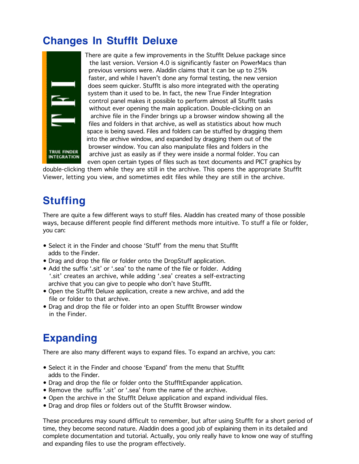### **Changes In StuffIt Deluxe**



 There are quite a few improvements in the StuffIt Deluxe package since the last version. Version 4.0 is significantly faster on PowerMacs than previous versions were. Aladdin claims that it can be up to 25% faster, and while I haven't done any formal testing, the new version does seem quicker. StuffIt is also more integrated with the operating system than it used to be. In fact, the new True Finder Integration control panel makes it possible to perform almost all StuffIt tasks without ever opening the main application. Double-clicking on an archive file in the Finder brings up a browser window showing all the files and folders in that archive, as well as statistics about how much space is being saved. Files and folders can be stuffed by dragging them into the archive window, and expanded by dragging them out of the **browser window. You can also manipulate files and folders in the**<br>TRUE FINDER **CORPORATION** and as assilves if they were inside a narmal folder. You TRUE FINDER archive just as easily as if they were inside a normal folder. You can even open certain types of files such as text documents and PICT graphics by

double-clicking them while they are still in the archive. This opens the appropriate StuffIt Viewer, letting you view, and sometimes edit files while they are still in the archive.

#### **Stuffing**

There are quite a few different ways to stuff files. Aladdin has created many of those possible ways, because different people find different methods more intuitive. To stuff a file or folder, you can:

- Select it in the Finder and choose 'Stuff' from the menu that StuffIt adds to the Finder.
- Drag and drop the file or folder onto the DropStuff application.
- Add the suffix '.sit' or '.sea' to the name of the file or folder. Adding '.sit' creates an archive, while adding '.sea' creates a self-extracting archive that you can give to people who don't have StuffIt.
- Open the StuffIt Deluxe application, create a new archive, and add the file or folder to that archive.
- Drag and drop the file or folder into an open StuffIt Browser window in the Finder.

### **Expanding**

There are also many different ways to expand files. To expand an archive, you can:

- Select it in the Finder and choose 'Expand' from the menu that StuffIt adds to the Finder.
- Drag and drop the file or folder onto the StuffItExpander application.
- Remove the suffix '.sit' or '.sea' from the name of the archive.
- Open the archive in the StuffIt Deluxe application and expand individual files.
- Drag and drop files or folders out of the StuffIt Browser window.

These procedures may sound difficult to remember, but after using StuffIt for a short period of time, they become second nature. Aladdin does a good job of explaining them in its detailed and complete documentation and tutorial. Actually, you only really have to know one way of stuffing and expanding files to use the program effectively.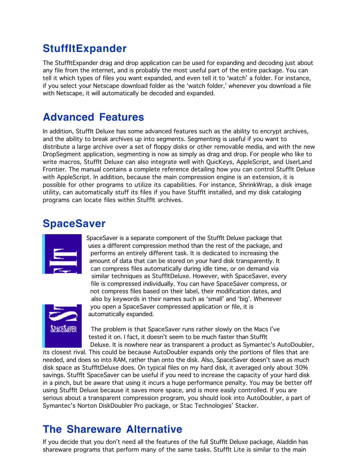### **StuffItExpander**

The StuffItExpander drag and drop application can be used for expanding and decoding just about any file from the internet, and is probably the most useful part of the entire package. You can tell it which types of files you want expanded, and even tell it to 'watch' a folder. For instance, if you select your Netscape download folder as the 'watch folder,' whenever you download a file with Netscape, it will automatically be decoded and expanded.

#### **Advanced Features**

In addition, StuffIt Deluxe has some advanced features such as the ability to encrypt archives, and the ability to break archives up into segments. Segmenting is useful if you want to distribute a large archive over a set of floppy disks or other removable media, and with the new DropSegment application, segmenting is now as simply as drag and drop. For people who like to write macros, StuffIt Deluxe can also integrate well with QuicKeys, AppleScript, and UserLand Frontier. The manual contains a complete reference detailing how you can control StuffIt Deluxe with AppleScript. In addition, because the main compression engine is an extension, it is possible for other programs to utilize its capabilities. For instance, ShrinkWrap, a disk image utility, can automatically stuff its files if you have StuffIt installed, and my disk cataloging programs can locate files within StuffIt archives.

### **SpaceSaver**

| . |
|---|
|   |
|   |
|   |
|   |
|   |
|   |

 SpaceSaver is a separate component of the StuffIt Deluxe package that uses a different compression method than the rest of the package, and performs an entirely different task. It is dedicated to increasing the amount of data that can be stored on your hard disk transparently. It can compress files automatically during idle time, or on demand via similar techniques as StuffItDeluxe. However, with SpaceSaver, every file is compressed individually. You can have SpaceSaver compress, or not compress files based on their label, their modification dates, and also by keywords in their names such as 'small' and 'big'. Whenever you open a SpaceSaver compressed application or file, it is automatically expanded.



**THEM T**he problem is that SpaceSaver runs rather slowly on the Macs I've tested it on. I fact, it doesn't seem to be much faster than StuffIt Deluxe. It is nowhere near as transparent a product as Symantec's AutoDoubler,

its closest rival. This could be because AutoDoubler expands only the portions of files that are needed, and does so into RAM, rather than onto the disk. Also, SpaceSaver doesn't save as much disk space as StuffItDeluxe does. On typical files on my hard disk, it averaged only about 30% savings. Stufflt SpaceSaver can be useful if you need to increase the capacity of your hard disk in a pinch, but be aware that using it incurs a huge performance penalty. You may be better off using StuffIt Deluxe because it saves more space, and is more easily controlled. If you are serious about a transparent compression program, you should look into AutoDoubler, a part of Symantec's Norton DiskDoubler Pro package, or Stac Technologies' Stacker.

#### **The Shareware Alternative**

If you decide that you don't need all the features of the full StuffIt Deluxe package, Aladdin has shareware programs that perform many of the same tasks. StuffIt Lite is similar to the main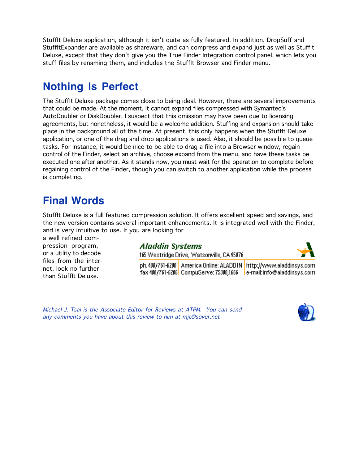StuffIt Deluxe application, although it isn't quite as fully featured. In addition, DropSuff and StuffItExpander are available as shareware, and can compress and expand just as well as StuffIt Deluxe, except that they don't give you the True Finder Integration control panel, which lets you stuff files by renaming them, and includes the StuffIt Browser and Finder menu.

### **Nothing Is Perfect**

The StuffIt Deluxe package comes close to being ideal. However, there are several improvements that could be made. At the moment, it cannot expand files compressed with Symantec's AutoDoubler or DiskDoubler. I suspect that this omission may have been due to licensing agreements, but nonetheless, it would be a welcome addition. Stuffing and expansion should take place in the background all of the time. At present, this only happens when the StuffIt Deluxe application, or one of the drag and drop applications is used. Also, it should be possible to queue tasks. For instance, it would be nice to be able to drag a file into a Browser window, regain control of the Finder, select an archive, choose expand from the menu, and have these tasks be executed one after another. As it stands now, you must wait for the operation to complete before regaining control of the Finder, though you can switch to another application while the process is completing.

#### **Final Words**

StuffIt Deluxe is a full featured compression solution. It offers excellent speed and savings, and the new version contains several important enhancements. It is integrated well with the Finder, and is very intuitive to use. If you are looking for

a well refined compression program, or a utility to decode files from the internet, look no further than StuffIt Deluxe.

#### **Aladdin Systems**

165 Westridge Drive, Watsonville, CA 95076

ph. 408/761-6200 | America Online: ALADDIN | http://www.aladdinsvs.com 

Michael J. Tsai is the Associate Editor for Reviews at ATPM. You can send any comments you have about this review to him at mjt@sover.net

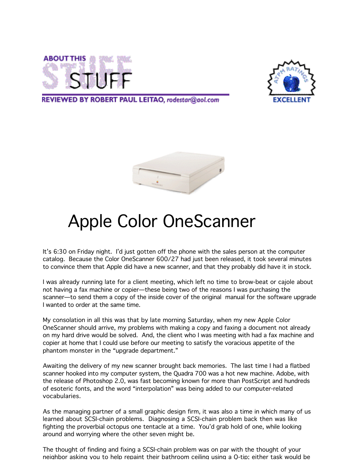



REVIEWED BY ROBERT PAUL LEITAO, rodestar@aol.com



## Apple Color OneScanner

It's 6:30 on Friday night. I'd just gotten off the phone with the sales person at the computer catalog. Because the Color OneScanner 600/27 had just been released, it took several minutes to convince them that Apple did have a new scanner, and that they probably did have it in stock.

I was already running late for a client meeting, which left no time to brow-beat or cajole about not having a fax machine or copier—these being two of the reasons I was purchasing the scanner—to send them a copy of the inside cover of the original manual for the software upgrade I wanted to order at the same time.

My consolation in all this was that by late morning Saturday, when my new Apple Color OneScanner should arrive, my problems with making a copy and faxing a document not already on my hard drive would be solved. And, the client who I was meeting with had a fax machine and copier at home that I could use before our meeting to satisfy the voracious appetite of the phantom monster in the "upgrade department."

Awaiting the delivery of my new scanner brought back memories. The last time I had a flatbed scanner hooked into my computer system, the Quadra 700 was a hot new machine. Adobe, with the release of Photoshop 2.0, was fast becoming known for more than PostScript and hundreds of esoteric fonts, and the word "interpolation" was being added to our computer-related vocabularies.

As the managing partner of a small graphic design firm, it was also a time in which many of us learned about SCSI-chain problems. Diagnosing a SCSI-chain problem back then was like fighting the proverbial octopus one tentacle at a time. You'd grab hold of one, while looking around and worrying where the other seven might be.

The thought of finding and fixing a SCSI-chain problem was on par with the thought of your neighbor asking you to help repaint their bathroom ceiling using a Q-tip; either task would be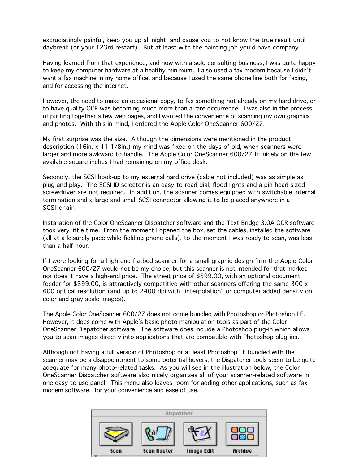excruciatingly painful, keep you up all night, and cause you to not know the true result until daybreak (or your 123rd restart). But at least with the painting job you'd have company.

Having learned from that experience, and now with a solo consulting business, I was quite happy to keep my computer hardware at a healthy minimum. I also used a fax modem because I didn't want a fax machine in my home office, and because I used the same phone line both for faxing, and for accessing the internet.

However, the need to make an occasional copy, to fax something not already on my hard drive, or to have quality OCR was becoming much more than a rare occurrence. I was also in the process of putting together a few web pages, and I wanted the convenience of scanning my own graphics and photos. With this in mind, I ordered the Apple Color OneScanner 600/27.

My first surprise was the size. Although the dimensions were mentioned in the product description (16in. x 11 1/8in.) my mind was fixed on the days of old, when scanners were larger and more awkward to handle. The Apple Color OneScanner 600/27 fit nicely on the few available square inches I had remaining on my office desk.

Secondly, the SCSI hook-up to my external hard drive (cable not included) was as simple as plug and play. The SCSI ID selector is an easy-to-read dial; flood lights and a pin-head sized screwdriver are not required. In addition, the scanner comes equipped with switchable internal termination and a large and small SCSI connector allowing it to be placed anywhere in a SCSI-chain.

Installation of the Color OneScanner Dispatcher software and the Text Bridge 3.0A OCR software took very little time. From the moment I opened the box, set the cables, installed the software (all at a leisurely pace while fielding phone calls), to the moment I was ready to scan, was less than a half hour.

If I were looking for a high-end flatbed scanner for a small graphic design firm the Apple Color OneScanner 600/27 would not be my choice, but this scanner is not intended for that market nor does it have a high-end price. The street price of \$599.00, with an optional document feeder for \$399.00, is attractively competitive with other scanners offering the same 300 x 600 optical resolution (and up to 2400 dpi with "interpolation" or computer added density on color and gray scale images).

The Apple Color OneScanner 600/27 does not come bundled with Photoshop or Photoshop LE. However, it does come with Apple's basic photo manipulation tools as part of the Color OneScanner Dispatcher software. The software does include a Photoshop plug-in which allows you to scan images directly into applications that are compatible with Photoshop plug-ins.

Although not having a full version of Photoshop or at least Photoshop LE bundled with the scanner may be a disappointment to some potential buyers, the Dispatcher tools seem to be quite adequate for many photo-related tasks. As you will see in the illustration below, the Color OneScanner Dispatcher software also nicely organizes all of your scanner-related software in one easy-to-use panel. This menu also leaves room for adding other applications, such as fax modem software, for your convenience and ease of use.

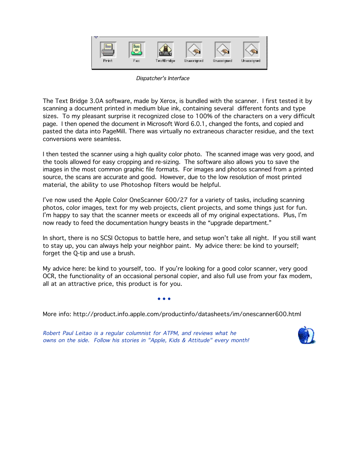

Dispatcher's Interface

The Text Bridge 3.0A software, made by Xerox, is bundled with the scanner. I first tested it by scanning a document printed in medium blue ink, containing several different fonts and type sizes. To my pleasant surprise it recognized close to 100% of the characters on a very difficult page. I then opened the document in Microsoft Word 6.0.1, changed the fonts, and copied and pasted the data into PageMill. There was virtually no extraneous character residue, and the text conversions were seamless.

I then tested the scanner using a high quality color photo. The scanned image was very good, and the tools allowed for easy cropping and re-sizing. The software also allows you to save the images in the most common graphic file formats. For images and photos scanned from a printed source, the scans are accurate and good. However, due to the low resolution of most printed material, the ability to use Photoshop filters would be helpful.

I've now used the Apple Color OneScanner 600/27 for a variety of tasks, including scanning photos, color images, text for my web projects, client projects, and some things just for fun. I'm happy to say that the scanner meets or exceeds all of my original expectations. Plus, I'm now ready to feed the documentation hungry beasts in the "upgrade department."

In short, there is no SCSI Octopus to battle here, and setup won't take all night. If you still want to stay up, you can always help your neighbor paint. My advice there: be kind to yourself; forget the Q-tip and use a brush.

My advice here: be kind to yourself, too. If you're looking for a good color scanner, very good OCR, the functionality of an occasional personal copier, and also full use from your fax modem, all at an attractive price, this product is for you.

 $\bullet$  •  $\bullet$  •  $\bullet$  •  $\bullet$  •  $\bullet$  •  $\bullet$  •  $\bullet$  •  $\bullet$  •  $\bullet$  •  $\bullet$ 

More info: http://product.info.apple.com/productinfo/datasheets/im/onescanner600.html

Robert Paul Leitao is a regular columnist for ATPM, and reviews what he owns on the side. Follow his stories in "Apple, Kids & Attitude" every month!

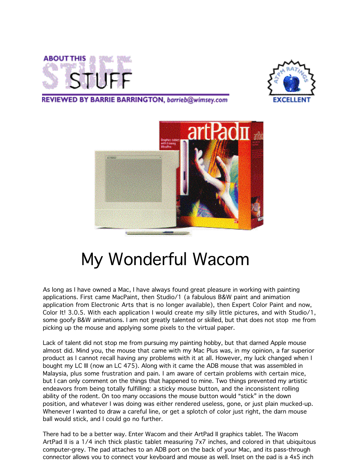



#### REVIEWED BY BARRIE BARRINGTON, barrieb@wimsey.com



## My Wonderful Wacom

As long as I have owned a Mac, I have always found great pleasure in working with painting applications. First came MacPaint, then Studio/1 (a fabulous B&W paint and animation application from Electronic Arts that is no longer available), then Expert Color Paint and now, Color It! 3.0.5. With each application I would create my silly little pictures, and with Studio/1, some goofy B&W animations. I am not greatly talented or skilled, but that does not stop me from picking up the mouse and applying some pixels to the virtual paper.

Lack of talent did not stop me from pursuing my painting hobby, but that darned Apple mouse almost did. Mind you, the mouse that came with my Mac Plus was, in my opinion, a far superior product as I cannot recall having any problems with it at all. However, my luck changed when I bought my LC III (now an LC 475). Along with it came the ADB mouse that was assembled in Malaysia, plus some frustration and pain. I am aware of certain problems with certain mice, but I can only comment on the things that happened to mine. Two things prevented my artistic endeavors from being totally fulfilling: a sticky mouse button, and the inconsistent rolling ability of the rodent. On too many occasions the mouse button would "stick" in the down position, and whatever I was doing was either rendered useless, gone, or just plain mucked-up. Whenever I wanted to draw a careful line, or get a splotch of color just right, the darn mouse ball would stick, and I could go no further.

There had to be a better way. Enter Wacom and their ArtPad II graphics tablet. The Wacom ArtPad II is a 1/4 inch thick plastic tablet measuring 7x7 inches, and colored in that ubiquitous computer-grey. The pad attaches to an ADB port on the back of your Mac, and its pass-through connector allows you to connect your keyboard and mouse as well. Inset on the pad is a 4x5 inch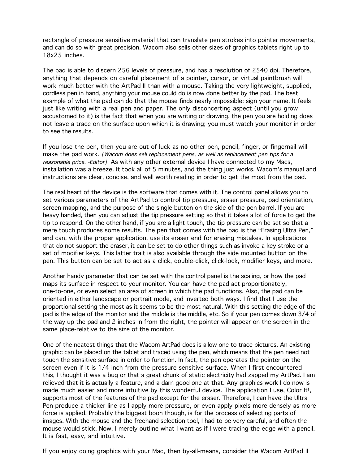rectangle of pressure sensitive material that can translate pen strokes into pointer movements, and can do so with great precision. Wacom also sells other sizes of graphics tablets right up to 18x25 inches.

The pad is able to discern 256 levels of pressure, and has a resolution of 2540 dpi. Therefore, anything that depends on careful placement of a pointer, cursor, or virtual paintbrush will work much better with the ArtPad II than with a mouse. Taking the very lightweight, supplied, cordless pen in hand, anything your mouse could do is now done better by the pad. The best example of what the pad can do that the mouse finds nearly impossible: sign your name. It feels just like writing with a real pen and paper. The only disconcerting aspect (until you grow accustomed to it) is the fact that when you are writing or drawing, the pen you are holding does not leave a trace on the surface upon which it is drawing; you must watch your monitor in order to see the results.

If you lose the pen, then you are out of luck as no other pen, pencil, finger, or fingernail will make the pad work. [Wacom does sell replacement pens, as well as replacement pen tips for a reasonable price. -Editor] As with any other external device I have connected to my Macs, installation was a breeze. It took all of 5 minutes, and the thing just works. Wacom's manual and instructions are clear, concise, and well worth reading in order to get the most from the pad.

The real heart of the device is the software that comes with it. The control panel allows you to set various parameters of the ArtPad to control tip pressure, eraser pressure, pad orientation, screen mapping, and the purpose of the single button on the side of the pen barrel. If you are heavy handed, then you can adjust the tip pressure setting so that it takes a lot of force to get the tip to respond. On the other hand, if you are a light touch, the tip pressure can be set so that a mere touch produces some results. The pen that comes with the pad is the "Erasing Ultra Pen," and can, with the proper application, use its eraser end for erasing mistakes. In applications that do not support the eraser, it can be set to do other things such as invoke a key stroke or a set of modifier keys. This latter trait is also available through the side mounted button on the pen. This button can be set to act as a click, double-click, click-lock, modifier keys, and more.

Another handy parameter that can be set with the control panel is the scaling, or how the pad maps its surface in respect to your monitor. You can have the pad act proportionately, one-to-one, or even select an area of screen in which the pad functions. Also, the pad can be oriented in either landscape or portrait mode, and inverted both ways. I find that I use the proportional setting the most as it seems to be the most natural. With this setting the edge of the pad is the edge of the monitor and the middle is the middle, etc. So if your pen comes down 3/4 of the way up the pad and 2 inches in from the right, the pointer will appear on the screen in the same place-relative to the size of the monitor.

One of the neatest things that the Wacom ArtPad does is allow one to trace pictures. An existing graphic can be placed on the tablet and traced using the pen, which means that the pen need not touch the sensitive surface in order to function. In fact, the pen operates the pointer on the screen even if it is 1/4 inch from the pressure sensitive surface. When I first encountered this, I thought it was a bug or that a great chunk of static electricity had zapped my ArtPad. I am relieved that it is actually a feature, and a darn good one at that. Any graphics work I do now is made much easier and more intuitive by this wonderful device. The application I use, Color It!, supports most of the features of the pad except for the eraser. Therefore, I can have the Ultra Pen produce a thicker line as I apply more pressure, or even apply pixels more densely as more force is applied. Probably the biggest boon though, is for the process of selecting parts of images. With the mouse and the freehand selection tool, I had to be very careful, and often the mouse would stick. Now, I merely outline what I want as if I were tracing the edge with a pencil. It is fast, easy, and intuitive.

If you enjoy doing graphics with your Mac, then by-all-means, consider the Wacom ArtPad II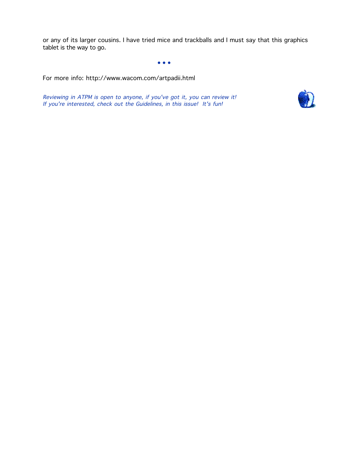or any of its larger cousins. I have tried mice and trackballs and I must say that this graphics tablet is the way to go.

 $\bullet$  •  $\bullet$  •  $\bullet$  •  $\bullet$  •  $\bullet$  •  $\bullet$  •  $\bullet$  •  $\bullet$  •  $\bullet$  •  $\bullet$  •  $\bullet$  •  $\bullet$  •  $\bullet$  •  $\bullet$ 

For more info: http://www.wacom.com/artpadii.html

Reviewing in ATPM is open to anyone, if you've got it, you can review it! If you're interested, check out the Guidelines, in this issue! It's fun!

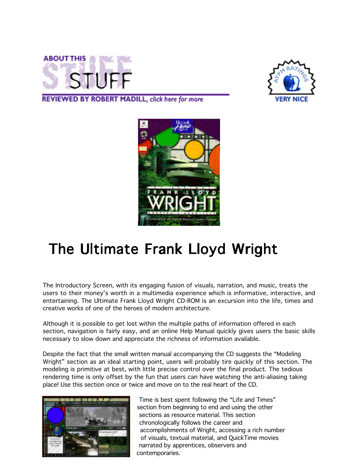



REVIEWED BY ROBERT MADILL, click here for more



### The Ultimate Frank Lloyd Wright

The Introductory Screen, with its engaging fusion of visuals, narration, and music, treats the users to their money's worth in a multimedia experience which is informative, interactive, and entertaining. The Ultimate Frank Lloyd Wright CD-ROM is an excursion into the life, times and creative works of one of the heroes of modern architecture.

Although it is possible to get lost within the multiple paths of information offered in each section, navigation is fairly easy, and an online Help Manual quickly gives users the basic skills necessary to slow down and appreciate the richness of information available.

Despite the fact that the small written manual accompanying the CD suggests the "Modeling Wright" section as an ideal starting point, users will probably tire quickly of this section. The modeling is primitive at best, with little precise control over the final product. The tedious rendering time is only offset by the fun that users can have watching the anti-aliasing taking place! Use this section once or twice and move on to the real heart of the CD.



 Time is best spent following the "Life and Times" section from beginning to end and using the other sections as resource material. This section chronologically follows the career and accomplishments of Wright, accessing a rich number of visuals, textual material, and QuickTime movies narrated by apprentices, observers and contemporaries.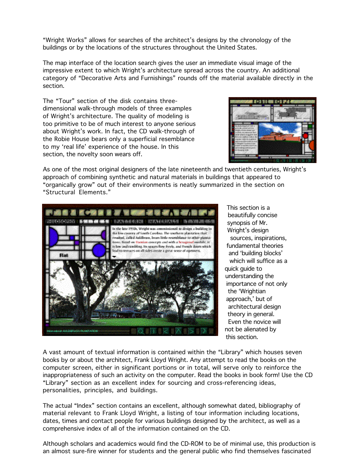"Wright Works" allows for searches of the architect's designs by the chronology of the buildings or by the locations of the structures throughout the United States.

The map interface of the location search gives the user an immediate visual image of the impressive extent to which Wright's architecture spread across the country. An additional category of "Decorative Arts and Furnishings" rounds off the material available directly in the section.

The "Tour" section of the disk contains threedimensional walk-through models of three examples of Wright's architecture. The quality of modeling is too primitive to be of much interest to anyone serious about Wright's work. In fact, the CD walk-through of the Robie House bears only a superficial resemblance to my 'real life' experience of the house. In this section, the novelty soon wears off.



As one of the most original designers of the late nineteenth and twentieth centuries, Wright's approach of combining synthetic and natural materials in buildings that appeared to "organically grow" out of their environments is neatly summarized in the section on "Structural Elements."



 beautifully concise and 'building blocks' which will suffice as a quick guide to understanding the importance of not only the 'Wrightian approach,' but of architectural design theory in general. Even the novice will this section.

A vast amount of textual information is contained within the "Library" which houses seven books by or about the architect, Frank Lloyd Wright. Any attempt to read the books on the computer screen, either in significant portions or in total, will serve only to reinforce the inappropriateness of such an activity on the computer. Read the books in book form! Use the CD "Library" section as an excellent index for sourcing and cross-referencing ideas, personalities, principles, and buildings.

The actual "Index" section contains an excellent, although somewhat dated, bibliography of material relevant to Frank Lloyd Wright, a listing of tour information including locations, dates, times and contact people for various buildings designed by the architect, as well as a comprehensive index of all of the information contained on the CD.

Although scholars and academics would find the CD-ROM to be of minimal use, this production is an almost sure-fire winner for students and the general public who find themselves fascinated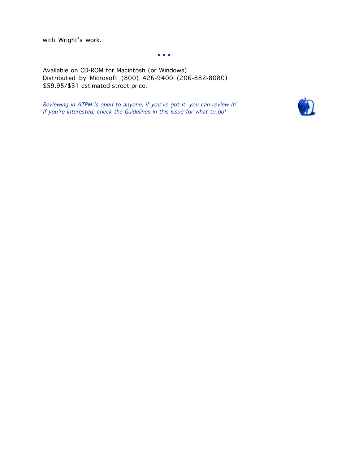with Wright's work.

 $\bullet$  •  $\bullet$  •  $\bullet$  •  $\bullet$  •  $\bullet$  •  $\bullet$  •  $\bullet$  •  $\bullet$  •  $\bullet$  •  $\bullet$  •  $\bullet$  •  $\bullet$ 

Available on CD-ROM for Macintosh (or Windows) Distributed by Microsoft (800) 426-9400 (206-882-8080) \$59.95/\$31 estimated street price.

Reviewing in ATPM is open to anyone, if you've got it, you can review it! If you're interested, check the Guidelines in this issue for what to do!

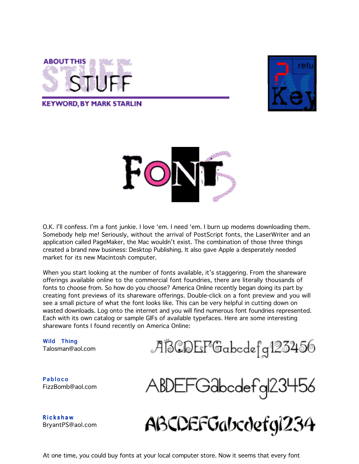

**KEYWORD, BY MARK STARLIN** 





O.K. I'll confess. I'm a font junkie. I love 'em. I need 'em. I burn up modems downloading them. Somebody help me! Seriously, without the arrival of PostScript fonts, the LaserWriter and an application called PageMaker, the Mac wouldn't exist. The combination of those three things created a brand new business: Desktop Publishing. It also gave Apple a desperately needed market for its new Macintosh computer.

When you start looking at the number of fonts available, it's staggering. From the shareware offerings available online to the commercial font foundries, there are literally thousands of fonts to choose from. So how do you choose? America Online recently began doing its part by creating font previews of its shareware offerings. Double-click on a font preview and you will see a small picture of what the font looks like. This can be very helpful in cutting down on wasted downloads. Log onto the internet and you will find numerous font foundries represented. Each with its own catalog or sample GIFs of available typefaces. Here are some interesting shareware fonts I found recently on America Online:

Wild Thing Talosman@aol.com

ABCDEFGabcdefg123456

Pabloco FizzBomb@aol.com

**Rickshaw** BryantPS@aol.com

ABDEFGabcdefg|23456

ABCDEFGabcdefgi234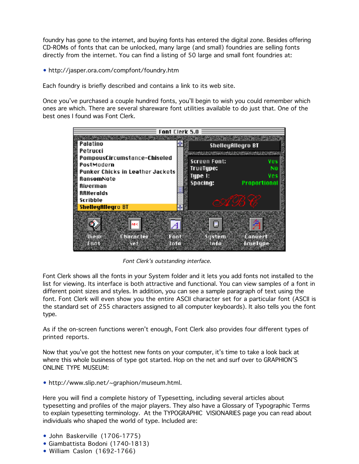foundry has gone to the internet, and buying fonts has entered the digital zone. Besides offering CD-ROMs of fonts that can be unlocked, many large (and small) foundries are selling fonts directly from the internet. You can find a listing of 50 large and small font foundries at:

• http://jasper.ora.com/compfont/foundry.htm

Each foundry is briefly described and contains a link to its web site.

Once you've purchased a couple hundred fonts, you'll begin to wish you could remember which ones are which. There are several shareware font utilities available to do just that. One of the best ones I found was Font Clerk.



Font Clerk's outstanding interface.

Font Clerk shows all the fonts in your System folder and it lets you add fonts not installed to the list for viewing. Its interface is both attractive and functional. You can view samples of a font in different point sizes and styles. In addition, you can see a sample paragraph of text using the font. Font Clerk will even show you the entire ASCII character set for a particular font (ASCII is the standard set of 255 characters assigned to all computer keyboards). It also tells you the font type.

As if the on-screen functions weren't enough, Font Clerk also provides four different types of printed reports.

Now that you've got the hottest new fonts on your computer, it's time to take a look back at where this whole business of type got started. Hop on the net and surf over to GRAPHION'S ONLINE TYPE MUSEUM:

• http://www.slip.net/~graphion/museum.html.

Here you will find a complete history of Typesetting, including several articles about typesetting and profiles of the major players. They also have a Glossary of Typographic Terms to explain typesetting terminology. At the TYPOGRAPHIC VISIONARIES page you can read about individuals who shaped the world of type. Included are:

- John Baskerville (1706-1775)
- Giambattista Bodoni (1740-1813)
- William Caslon (1692-1766)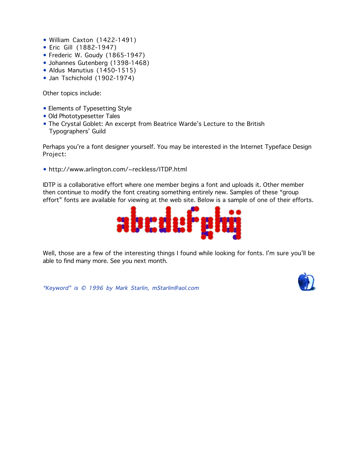- William Caxton (1422-1491)
- Eric Gill (1882-1947)
- Frederic W. Goudy (1865-1947)
- Johannes Gutenberg (1398-1468)
- Aldus Manutius (1450-1515)
- Jan Tschichold (1902-1974)

Other topics include:

- Elements of Typesetting Style
- Old Phototypesetter Tales
- The Crystal Goblet: An excerpt from Beatrice Warde's Lecture to the British Typographers' Guild

Perhaps you're a font designer yourself. You may be interested in the Internet Typeface Design Project:

• http://www.arlington.com/~reckless/ITDP.html

IDTP is a collaborative effort where one member begins a font and uploads it. Other member then continue to modify the font creating something entirely new. Samples of these "group effort" fonts are available for viewing at the web site. Below is a sample of one of their efforts.



Well, those are a few of the interesting things I found while looking for fonts. I'm sure you'll be able to find many more. See you next month.

"Keyword" is © 1996 by Mark Starlin, mStarlin@aol.com

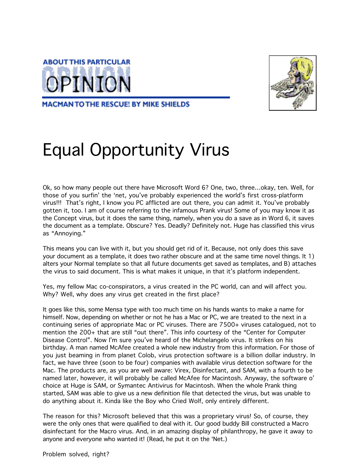



**MACMAN TO THE RESCUE! BY MIKE SHIELDS** 

# Equal Opportunity Virus

Ok, so how many people out there have Microsoft Word 6? One, two, three…okay, ten. Well, for those of you surfin' the 'net, you've probably experienced the world's first cross-platform virus!!! That's right, I know you PC afflicted are out there, you can admit it. You've probably gotten it, too. I am of course referring to the infamous Prank virus! Some of you may know it as the Concept virus, but it does the same thing, namely, when you do a save as in Word 6, it saves the document as a template. Obscure? Yes. Deadly? Definitely not. Huge has classified this virus as "Annoying."

This means you can live with it, but you should get rid of it. Because, not only does this save your document as a template, it does two rather obscure and at the same time novel things. It 1) alters your Normal template so that all future documents get saved as templates, and B) attaches the virus to said document. This is what makes it unique, in that it's platform independent.

Yes, my fellow Mac co-conspirators, a virus created in the PC world, can and will affect you. Why? Well, why does any virus get created in the first place?

It goes like this, some Mensa type with too much time on his hands wants to make a name for himself. Now, depending on whether or not he has a Mac or PC, we are treated to the next in a continuing series of appropriate Mac or PC viruses. There are 7500+ viruses catalogued, not to mention the 200+ that are still "out there". This info courtesy of the "Center for Computer Disease Control". Now I'm sure you've heard of the Michelangelo virus. It strikes on his birthday. A man named McAfee created a whole new industry from this information. For those of you just beaming in from planet Colob, virus protection software is a billion dollar industry. In fact, we have three (soon to be four) companies with available virus detection software for the Mac. The products are, as you are well aware: Virex, Disinfectant, and SAM, with a fourth to be named later, however, it will probably be called McAfee for Macintosh. Anyway, the software o' choice at Huge is SAM, or Symantec Antivirus for Macintosh. When the whole Prank thing started, SAM was able to give us a new definition file that detected the virus, but was unable to do anything about it. Kinda like the Boy who Cried Wolf, only entirely different.

The reason for this? Microsoft believed that this was a proprietary virus! So, of course, they were the only ones that were qualified to deal with it. Our good buddy Bill constructed a Macro disinfectant for the Macro virus. And, in an amazing display of philanthropy, he gave it away to anyone and everyone who wanted it! (Read, he put it on the 'Net.)

Problem solved, right?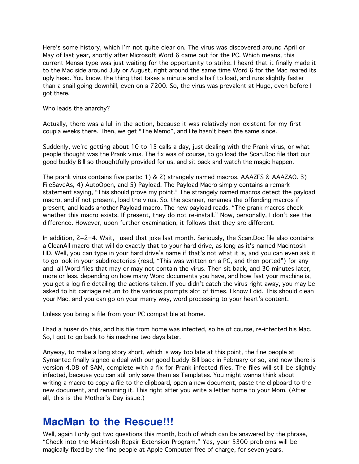Here's some history, which I'm not quite clear on. The virus was discovered around April or May of last year, shortly after Microsoft Word 6 came out for the PC. Which means, this current Mensa type was just waiting for the opportunity to strike. I heard that it finally made it to the Mac side around July or August, right around the same time Word 6 for the Mac reared its ugly head. You know, the thing that takes a minute and a half to load, and runs slightly faster than a snail going downhill, even on a 7200. So, the virus was prevalent at Huge, even before I got there.

Who leads the anarchy?

Actually, there was a lull in the action, because it was relatively non-existent for my first coupla weeks there. Then, we get "The Memo", and life hasn't been the same since.

Suddenly, we're getting about 10 to 15 calls a day, just dealing with the Prank virus, or what people thought was the Prank virus. The fix was of course, to go load the Scan.Doc file that our good buddy Bill so thoughtfully provided for us, and sit back and watch the magic happen.

The prank virus contains five parts: 1) & 2) strangely named macros, AAAZFS & AAAZAO. 3) FileSaveAs, 4) AutoOpen, and 5) Payload. The Payload Macro simply contains a remark statement saying, "This should prove my point." The strangely named macros detect the payload macro, and if not present, load the virus. So, the scanner, renames the offending macros if present, and loads another Payload macro. The new payload reads, "The prank macros check whether this macro exists. If present, they do not re-install." Now, personally, I don't see the difference. However, upon further examination, it follows that they are different.

In addition, 2+2=4. Wait, I used that joke last month. Seriously, the Scan.Doc file also contains a CleanAll macro that will do exactly that to your hard drive, as long as it's named Macintosh HD. Well, you can type in your hard drive's name if that's not what it is, and you can even ask it to go look in your subdirectories (read, "This was written on a PC, and then ported") for any and all Word files that may or may not contain the virus. Then sit back, and 30 minutes later, more or less, depending on how many Word documents you have, and how fast your machine is, you get a log file detailing the actions taken. If you didn't catch the virus right away, you may be asked to hit carriage return to the various prompts alot of times. I know I did. This should clean your Mac, and you can go on your merry way, word processing to your heart's content.

Unless you bring a file from your PC compatible at home.

I had a huser do this, and his file from home was infected, so he of course, re-infected his Mac. So, I got to go back to his machine two days later.

Anyway, to make a long story short, which is way too late at this point, the fine people at Symantec finally signed a deal with our good buddy Bill back in February or so, and now there is version 4.08 of SAM, complete with a fix for Prank infected files. The files will still be slightly infected, because you can still only save them as Templates. You might wanna think about writing a macro to copy a file to the clipboard, open a new document, paste the clipboard to the new document, and renaming it. This right after you write a letter home to your Mom. (After all, this is the Mother's Day issue.)

#### **MacMan to the Rescue!!!**

Well, again I only got two questions this month, both of which can be answered by the phrase, "Check into the Macintosh Repair Extension Program." Yes, your 5300 problems will be magically fixed by the fine people at Apple Computer free of charge, for seven years.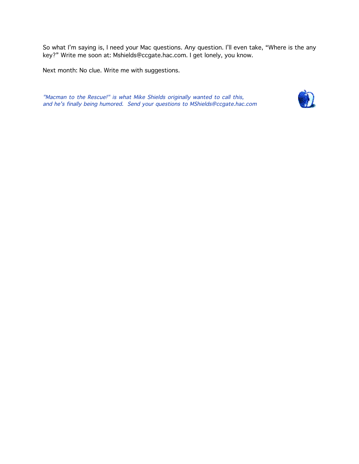So what I'm saying is, I need your Mac questions. Any question. I'll even take, "Where is the any key?" Write me soon at: Mshields@ccgate.hac.com. I get lonely, you know.

Next month: No clue. Write me with suggestions.

"Macman to the Rescue!" is what Mike Shields originally wanted to call this, and he's finally being humored. Send your questions to MShields@ccgate.hac.com

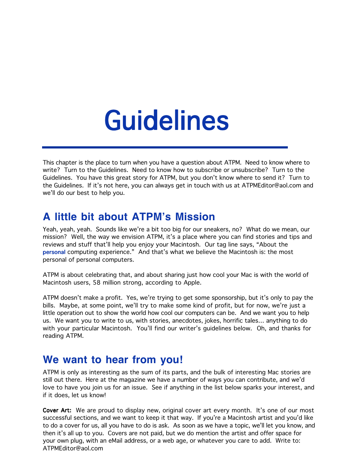# Guidelines

This chapter is the place to turn when you have a question about ATPM. Need to know where to write? Turn to the Guidelines. Need to know how to subscribe or unsubscribe? Turn to the Guidelines. You have this great story for ATPM, but you don't know where to send it? Turn to the Guidelines. If it's not here, you can always get in touch with us at ATPMEditor@aol.com and we'll do our best to help you.

#### **A little bit about ATPM's Mission**

Yeah, yeah, yeah. Sounds like we're a bit too big for our sneakers, no? What do we mean, our mission? Well, the way we envision ATPM, it's a place where you can find stories and tips and reviews and stuff that'll help you enjoy your Macintosh. Our tag line says, "About the personal computing experience." And that's what we believe the Macintosh is: the most personal of personal computers.

ATPM is about celebrating that, and about sharing just how cool your Mac is with the world of Macintosh users, 58 million strong, according to Apple.

ATPM doesn't make a profit. Yes, we're trying to get some sponsorship, but it's only to pay the bills. Maybe, at some point, we'll try to make some kind of profit, but for now, we're just a little operation out to show the world how cool our computers can be. And we want you to help us. We want you to write to us, with stories, anecdotes, jokes, horrific tales… anything to do with your particular Macintosh. You'll find our writer's guidelines below. Oh, and thanks for reading ATPM.

#### **We want to hear from you!**

ATPM is only as interesting as the sum of its parts, and the bulk of interesting Mac stories are still out there. Here at the magazine we have a number of ways you can contribute, and we'd love to have you join us for an issue. See if anything in the list below sparks your interest, and if it does, let us know!

Cover Art: We are proud to display new, original cover art every month. It's one of our most successful sections, and we want to keep it that way. If you're a Macintosh artist and you'd like to do a cover for us, all you have to do is ask. As soon as we have a topic, we'll let you know, and then it's all up to you. Covers are not paid, but we do mention the artist and offer space for your own plug, with an eMail address, or a web age, or whatever you care to add. Write to: ATPMEditor@aol.com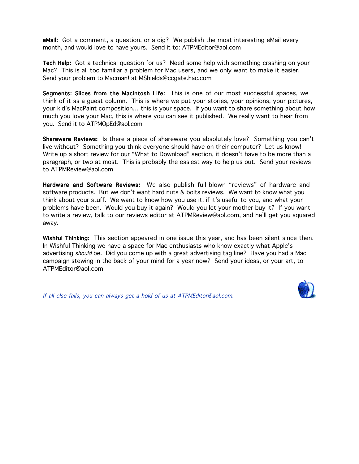**eMail:** Got a comment, a question, or a dig? We publish the most interesting eMail every month, and would love to have yours. Send it to: ATPMEditor@aol.com

Tech Help: Got a technical question for us? Need some help with something crashing on your Mac? This is all too familiar a problem for Mac users, and we only want to make it easier. Send your problem to Macman! at MShields@ccgate.hac.com

Segments: Slices from the Macintosh Life: This is one of our most successful spaces, we think of it as a guest column. This is where we put your stories, your opinions, your pictures, your kid's MacPaint composition… this is your space. If you want to share something about how much you love your Mac, this is where you can see it published. We really want to hear from you. Send it to ATPMOpEd@aol.com

Shareware Reviews: Is there a piece of shareware you absolutely love? Something you can't live without? Something you think everyone should have on their computer? Let us know! Write up a short review for our "What to Download" section, it doesn't have to be more than a paragraph, or two at most. This is probably the easiest way to help us out. Send your reviews to ATPMReview@aol.com

Hardware and Software Reviews: We also publish full-blown "reviews" of hardware and software products. But we don't want hard nuts & bolts reviews. We want to know what you think about your stuff. We want to know how you use it, if it's useful to you, and what your problems have been. Would you buy it again? Would you let your mother buy it? If you want to write a review, talk to our reviews editor at ATPMReview@aol.com, and he'll get you squared away.

Wishful Thinking: This section appeared in one issue this year, and has been silent since then. In Wishful Thinking we have a space for Mac enthusiasts who know exactly what Apple's advertising should be. Did you come up with a great advertising tag line? Have you had a Mac campaign stewing in the back of your mind for a year now? Send your ideas, or your art, to ATPMEditor@aol.com

If all else fails, you can always get a hold of us at ATPMEditor@aol.com.